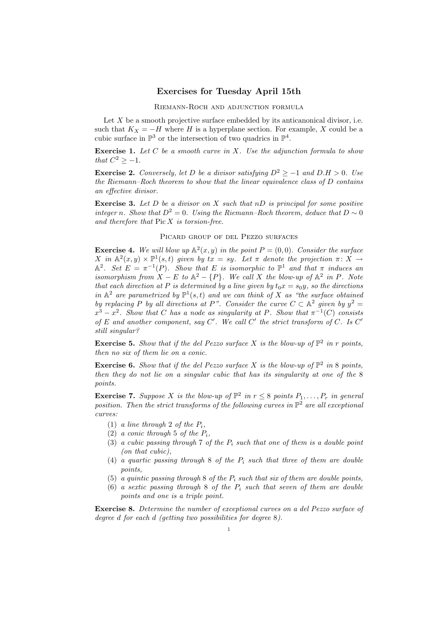## Exercises for Tuesday April 15th

Riemann-Roch and adjunction formula

Let  $X$  be a smooth projective surface embedded by its anticanonical divisor, i.e. such that  $K_X = -H$  where H is a hyperplane section. For example, X could be a cubic surface in  $\mathbb{P}^3$  or the intersection of two quadrics in  $\mathbb{P}^4$ .

**Exercise 1.** Let C be a smooth curve in X. Use the adjunction formula to show that  $C^2 \geq -1$ .

**Exercise 2.** Conversely, let D be a divisor satisfying  $D^2 \ge -1$  and  $D.H > 0$ . Use the Riemann–Roch theorem to show that the linear equivalence class of D contains an effective divisor.

**Exercise 3.** Let D be a divisor on X such that nD is principal for some positive integer n. Show that  $D^2 = 0$ . Using the Riemann–Roch theorem, deduce that  $D \sim 0$ and therefore that  $Pic X$  is torsion-free.

Picard group of del Pezzo surfaces

**Exercise 4.** We will blow up  $\mathbb{A}^2(x, y)$  in the point  $P = (0, 0)$ . Consider the surface X in  $\mathbb{A}^2(x,y) \times \mathbb{P}^1(s,t)$  given by  $tx = sy$ . Let  $\pi$  denote the projection  $\pi \colon X \to Y$  $\mathbb{A}^2$ . Set  $E = \pi^{-1}(P)$ . Show that E is isomorphic to  $\mathbb{P}^1$  and that  $\pi$  induces an isomorphism from  $X - E$  to  $\mathbb{A}^2 - \{P\}$ . We call X the blow-up of  $\mathbb{A}^2$  in P. Note that each direction at P is determined by a line given by  $t_0x = s_0y$ , so the directions in  $\mathbb{A}^2$  are parametrized by  $\mathbb{P}^1(s,t)$  and we can think of X as "the surface obtained by replacing P by all directions at P". Consider the curve  $C \subset \mathbb{A}^2$  given by  $y^2 =$  $x^3 - x^2$ . Show that C has a node as singularity at P. Show that  $\pi^{-1}(C)$  consists of E and another component, say  $C'$ . We call  $C'$  the strict transform of  $C$ . Is  $C'$ still singular?

**Exercise 5.** Show that if the del Pezzo surface X is the blow-up of  $\mathbb{P}^2$  in r points, then no six of them lie on a conic.

**Exercise 6.** Show that if the del Pezzo surface X is the blow-up of  $\mathbb{P}^2$  in 8 points, then they do not lie on a singular cubic that has its singularity at one of the 8 points.

**Exercise 7.** Suppose X is the blow-up of  $\mathbb{P}^2$  in  $r \leq 8$  points  $P_1, \ldots, P_r$  in general position. Then the strict transforms of the following curves in  $\mathbb{P}^2$  are all exceptional curves:

- (1) a line through 2 of the  $P_i$ ,
- (2) a conic through 5 of the  $P_i$ ,
- (3) a cubic passing through 7 of the  $P_i$  such that one of them is a double point (on that cubic),
- (4) a quartic passing through 8 of the  $P_i$  such that three of them are double points,
- (5) a quintic passing through 8 of the  $P_i$  such that six of them are double points,
- (6) a sextic passing through 8 of the  $P_i$  such that seven of them are double points and one is a triple point.

Exercise 8. Determine the number of exceptional curves on a del Pezzo surface of degree d for each d (getting two possibilities for degree 8).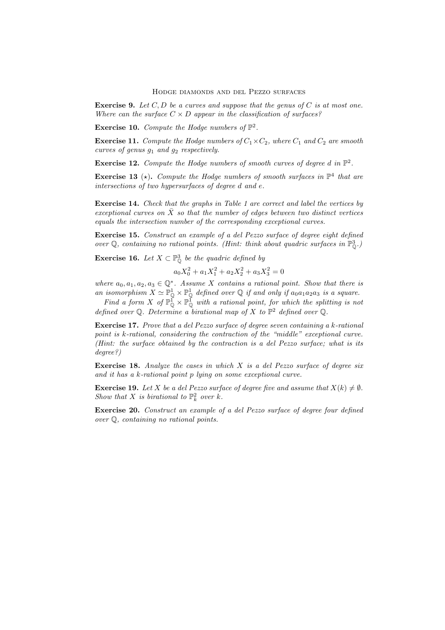**Exercise 9.** Let  $C, D$  be a curves and suppose that the genus of  $C$  is at most one. Where can the surface  $C \times D$  appear in the classification of surfaces?

**Exercise 10.** Compute the Hodge numbers of  $\mathbb{P}^2$ .

**Exercise 11.** Compute the Hodge numbers of  $C_1 \times C_2$ , where  $C_1$  and  $C_2$  are smooth curves of genus  $g_1$  and  $g_2$  respectively.

**Exercise 12.** Compute the Hodge numbers of smooth curves of degree d in  $\mathbb{P}^2$ .

**Exercise 13** ( $\star$ ). Compute the Hodge numbers of smooth surfaces in  $\mathbb{P}^4$  that are intersections of two hypersurfaces of degree d and e.

Exercise 14. Check that the graphs in Table 1 are correct and label the vertices by exceptional curves on  $\bar{X}$  so that the number of edges between two distinct vertices equals the intersection number of the corresponding exceptional curves.

Exercise 15. Construct an example of a del Pezzo surface of degree eight defined over  $\mathbb{Q}$ , containing no rational points. (Hint: think about quadric surfaces in  $\mathbb{P}^3_{\mathbb{Q}}$ .)

**Exercise 16.** Let  $X \subset \mathbb{P}_{\mathbb{Q}}^3$  be the quadric defined by

$$
a_0 X_0^2 + a_1 X_1^2 + a_2 X_2^2 + a_3 X_3^2 = 0
$$

where  $a_0, a_1, a_2, a_3 \in \mathbb{Q}^*$ . Assume X contains a rational point. Show that there is an isomorphism  $X \simeq \mathbb{P}^1_{\mathbb{Q}} \times \mathbb{P}^1_{\mathbb{Q}}$  defined over  $\mathbb{Q}$  if and only if  $a_0a_1a_2a_3$  is a square.

Find a form X of  $\mathbb{P}^{\tilde{1}}_{\mathbb{Q}} \times \mathbb{P}^{\tilde{1}}_{\mathbb{Q}}$  with a rational point, for which the splitting is not defined over Q. Determine a birational map of X to  $\mathbb{P}^2$  defined over Q.

Exercise 17. Prove that a del Pezzo surface of degree seven containing a k-rational point is k-rational, considering the contraction of the "middle" exceptional curve. (Hint: the surface obtained by the contraction is a del Pezzo surface; what is its degree?)

**Exercise 18.** Analyze the cases in which  $X$  is a del Pezzo surface of degree six and it has a k-rational point p lying on some exceptional curve.

**Exercise 19.** Let X be a del Pezzo surface of degree five and assume that  $X(k) \neq \emptyset$ . Show that X is birational to  $\mathbb{P}^2_k$  over k.

Exercise 20. Construct an example of a del Pezzo surface of degree four defined over Q, containing no rational points.